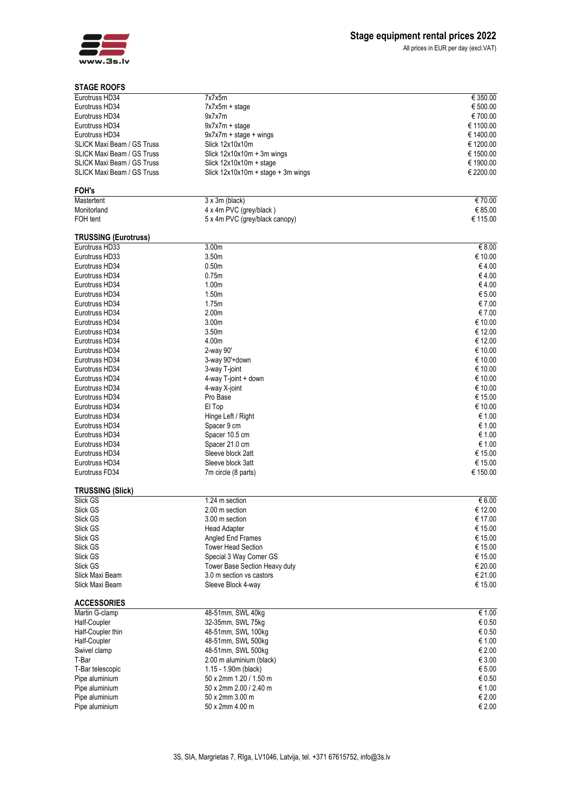

## **STAGE ROOFS**

All prices in EUR per day (excl.VAT)

| STAGE ROOFS                          |                                      |           |
|--------------------------------------|--------------------------------------|-----------|
| Eurotruss HD34                       | 7x7x5m                               | € 350.00  |
| Eurotruss HD34                       | $7x7x5m + stage$                     | € 500.00  |
| Eurotruss HD34                       | 9x7x7m                               | €700.00   |
| Eurotruss HD34                       | $9x7x7m + stage$                     | € 1100.00 |
| Eurotruss HD34                       | $9x7x7m + stage + wings$             | € 1400.00 |
| <b>SLICK Maxi Beam / GS Truss</b>    | Slick 12x10x10m                      | € 1200.00 |
| <b>SLICK Maxi Beam / GS Truss</b>    | Slick $12x10x10m + 3m$ wings         | € 1500.00 |
| SLICK Maxi Beam / GS Truss           | Slick $12x10x10m + stage$            | € 1900.00 |
| <b>SLICK Maxi Beam / GS Truss</b>    | Slick $12x10x10m + stage + 3m$ wings | € 2200.00 |
|                                      |                                      |           |
| FOH's                                |                                      |           |
| Mastertent                           | $3 \times 3m$ (black)                | € 70.00   |
| Monitorland                          | 4 x 4m PVC (grey/black)              | € 85.00   |
| FOH tent                             | 5 x 4m PVC (grey/black canopy)       | € 115.00  |
|                                      |                                      |           |
| <b>TRUSSING (Eurotruss)</b>          |                                      |           |
| Eurotruss HD33                       | 3.00m                                | € 8.00    |
| Eurotruss HD33                       | 3.50m                                | € 10.00   |
| Eurotruss HD34                       | 0.50 <sub>m</sub>                    | €4.00     |
| Eurotruss HD34                       | 0.75m                                | €4.00     |
| Eurotruss HD34                       | 1.00 <sub>m</sub>                    | €4.00     |
| Eurotruss HD34                       | 1.50m                                | € 5.00    |
| Eurotruss HD34                       | 1.75m                                | € 7.00    |
| Eurotruss HD34                       | 2.00 <sub>m</sub>                    | € 7.00    |
| Eurotruss HD34                       | 3.00 <sub>m</sub>                    | € 10.00   |
| Eurotruss HD34                       | 3.50 <sub>m</sub>                    | € 12.00   |
| Eurotruss HD34                       | 4.00m                                | € 12.00   |
|                                      |                                      |           |
| Eurotruss HD34                       | 2-way 90'                            | € 10.00   |
| Eurotruss HD34                       | 3-way 90'+down                       | € 10.00   |
| Eurotruss HD34                       | 3-way T-joint                        | € 10.00   |
| Eurotruss HD34                       | 4-way T-joint + down                 | € 10.00   |
| Eurotruss HD34                       | 4-way X-joint                        | € 10.00   |
| Eurotruss HD34                       | Pro Base                             | € 15.00   |
| Eurotruss HD34                       | El Top                               | € 10.00   |
| Eurotruss HD34                       | Hinge Left / Right                   | € 1.00    |
| Eurotruss HD34                       | Spacer 9 cm                          | € 1.00    |
| Eurotruss HD34                       | Spacer 10.5 cm                       | € 1.00    |
| Eurotruss HD34                       | Spacer 21.0 cm                       | € 1.00    |
| Eurotruss HD34                       | Sleeve block 2att                    | € 15.00   |
| Eurotruss HD34                       | Sleeve block 3att                    | € 15.00   |
| Eurotruss FD34                       | 7m circle (8 parts)                  | € 150.00  |
|                                      |                                      |           |
| <b>TRUSSING (Slick)</b>              |                                      |           |
| Slick GS                             | 1.24 m section                       | € 6.00    |
| Slick GS                             | 2.00 m section                       | € 12.00   |
| Slick GS                             | 3.00 m section                       | € 17.00   |
| Slick GS                             | <b>Head Adapter</b>                  | € 15.00   |
| Slick GS                             | Angled End Frames                    | € 15.00   |
| Slick GS                             | <b>Tower Head Section</b>            | € 15.00   |
| Slick GS                             | Special 3 Way Corner GS              | € 15.00   |
| Slick GS                             | Tower Base Section Heavy duty        | € 20.00   |
| Slick Maxi Beam                      | 3.0 m section vs castors             | € 21.00   |
| Slick Maxi Beam                      | Sleeve Block 4-way                   | € 15.00   |
|                                      |                                      |           |
| <b>ACCESSORIES</b><br>Martin G-clamp | 48-51mm, SWL 40kg                    | € 1.00    |
|                                      |                                      |           |
| Half-Coupler                         | 32-35mm, SWL 75kg                    | € 0.50    |
| Half-Coupler thin                    | 48-51mm, SWL 100kg                   | € 0.50    |
| Half-Coupler                         | 48-51mm, SWL 500kg                   | € 1.00    |
| Swivel clamp                         | 48-51mm, SWL 500kg                   | € 2.00    |
| T-Bar                                | 2.00 m aluminium (black)             | € 3.00    |
| T-Bar telescopic                     | 1.15 - 1.90m (black)                 | € 5.00    |
| Pipe aluminium                       | 50 x 2mm 1.20 / 1.50 m               | € 0.50    |
| Pipe aluminium                       | 50 x 2mm 2.00 / 2.40 m               | € 1.00    |
| Pipe aluminium                       | 50 x 2mm 3.00 m                      | € 2.00    |
| Pipe aluminium                       | 50 x 2mm 4.00 m                      | € 2.00    |